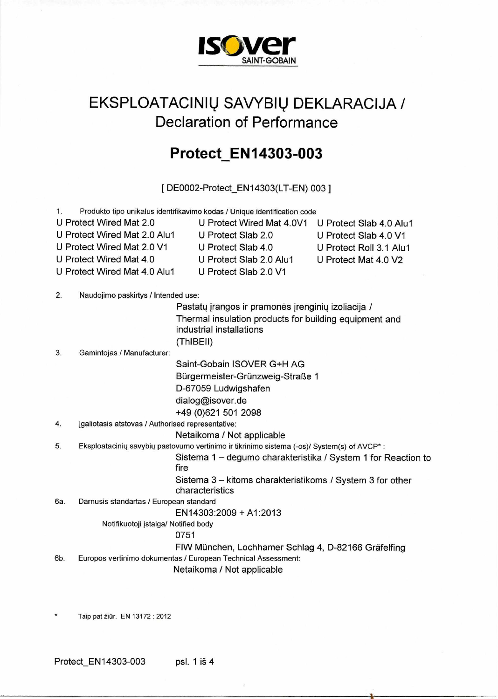

## EKSPLOATACINIŲ SAVYBIŲ DEKLARACIJA / Declaration of Performance

## **ProtectEN14303-003**

[ DE0002-Protect\_EN14303(LT-EN) 003 ]

| 1.  |                                                   | Produkto tipo unikalus identifikavimo kodas / Unique identification code                   |                         |
|-----|---------------------------------------------------|--------------------------------------------------------------------------------------------|-------------------------|
|     | U Protect Wired Mat 2.0                           | U Protect Wired Mat 4.0V1                                                                  | U Protect Slab 4.0 Alu1 |
|     | U Protect Wired Mat 2.0 Alu1                      | U Protect Slab 2.0                                                                         | U Protect Slab 4.0 V1   |
|     | U Protect Wired Mat 2.0 V1                        | U Protect Slab 4.0                                                                         | U Protect Roll 3.1 Alu1 |
|     | U Protect Wired Mat 4.0                           | U Protect Slab 2.0 Alu1                                                                    | U Protect Mat 4.0 V2    |
|     | U Protect Wired Mat 4.0 Alu1                      | U Protect Slab 2.0 V1                                                                      |                         |
|     |                                                   |                                                                                            |                         |
| 2.  | Naudojimo paskirtys / Intended use:               |                                                                                            |                         |
|     |                                                   | Pastatų įrangos ir pramonės įrenginių izoliacija /                                         |                         |
|     |                                                   | Thermal insulation products for building equipment and                                     |                         |
|     |                                                   | industrial installations                                                                   |                         |
|     |                                                   | (ThIBEII)                                                                                  |                         |
| 3.  | Gamintojas / Manufacturer:                        |                                                                                            |                         |
|     |                                                   | Saint-Gobain ISOVER G+H AG                                                                 |                         |
|     |                                                   | Bürgermeister-Grünzweig-Straße 1                                                           |                         |
|     |                                                   | D-67059 Ludwigshafen                                                                       |                         |
|     |                                                   | dialog@isover.de                                                                           |                         |
|     |                                                   | +49 (0)621 501 2098                                                                        |                         |
| 4.  | [galiotasis atstovas / Authorised representative: |                                                                                            |                         |
|     |                                                   | Netaikoma / Not applicable                                                                 |                         |
| 5.  |                                                   | Eksploatacinių savybių pastovumo vertinimo ir tikrinimo sistema (-os)/ System(s) of AVCP*: |                         |
|     |                                                   | Sistema 1 - degumo charakteristika / System 1 for Reaction to                              |                         |
|     |                                                   | fire                                                                                       |                         |
|     |                                                   | Sistema 3 - kitoms charakteristikoms / System 3 for other<br>characteristics               |                         |
| 6а. | Darnusis standartas / European standard           |                                                                                            |                         |
|     |                                                   | EN14303:2009 + A1:2013                                                                     |                         |
|     | Notifikuotoji įstaiga/ Notified body              |                                                                                            |                         |
|     |                                                   | 0751                                                                                       |                         |
|     |                                                   | FIW München, Lochhamer Schlag 4, D-82166 Gräfelfing                                        |                         |
| 6b. |                                                   | Europos vertinimo dokumentas / European Technical Assessment:                              |                         |
|     |                                                   | Netaikoma / Not applicable                                                                 |                         |
|     |                                                   |                                                                                            |                         |
|     |                                                   |                                                                                            |                         |

Taip pat žiūr. EN 13172 : 2012

Protect\_EN14303-003 psl. 1 i§ 4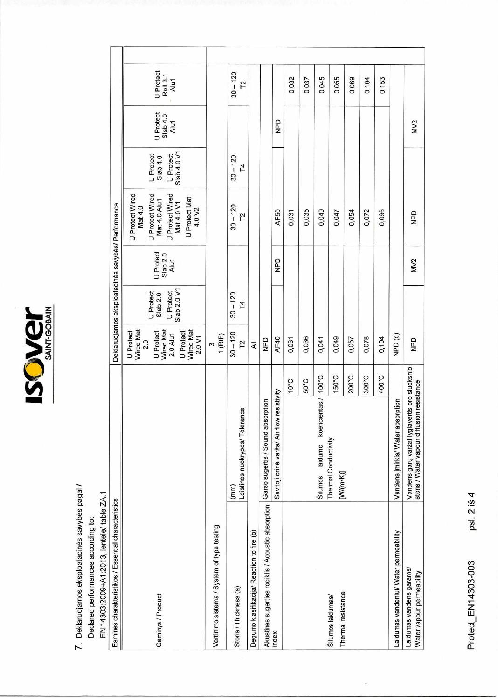**ISCWGY** 

7. Deklaruojamos eksploatacinės savybės pagal /

EN 14303:2009+A1:2013, lentele/ table ZA.1 Declared performances according to:

| Esminės charakteristikos / Essential characteristics  |                                                                                             |       |                                                                                                         |                                                   |                               | Deklaruojamos eksploatacinės savybės/ Performance                                                                                            |                                                     |                               |                               |  |
|-------------------------------------------------------|---------------------------------------------------------------------------------------------|-------|---------------------------------------------------------------------------------------------------------|---------------------------------------------------|-------------------------------|----------------------------------------------------------------------------------------------------------------------------------------------|-----------------------------------------------------|-------------------------------|-------------------------------|--|
| Gaminys / Product                                     |                                                                                             |       | Wired Mat<br>Wired Mat<br>Wired Mat<br>U Protect<br>U Protect<br>U Protect<br>2.0 Alu1<br>2.0 V1<br>2.0 | Slab 2.0 V1<br>U Protect<br>U Protect<br>Slab 2.0 | U Protect<br>Slab 2.0<br>Alu1 | <b>U Protect Wired</b><br>U Protect Wired<br>U Protect Wired<br>U Protect Mat<br>Mat 4.0 Alu1<br>Mat 4.0 V1<br>Mat 4.0<br>4.0 V <sub>2</sub> | Slab 4.0 V1<br>U Protect<br>U Protect<br>Slab $4.0$ | U Protect<br>Slab 4.0<br>Alu1 | U Protect<br>Roll 3.1<br>Alu1 |  |
| Vertinimo sistema / System of type testing            |                                                                                             |       | $1$ (RtF)<br>S                                                                                          |                                                   |                               |                                                                                                                                              |                                                     |                               |                               |  |
| Storis / Thickness (a)                                | Leistinos nuokrypos/Tolerance<br>(mm)                                                       |       | $30 - 120$<br>12                                                                                        | $30 - 120$<br>T4                                  |                               | $30 - 120$<br>12                                                                                                                             | $30 - 120$<br>T4                                    |                               | $30 - 120$<br>T <sup>2</sup>  |  |
| Degumo klasifikacija/ Reaction to fire (b)            |                                                                                             |       | Κ1                                                                                                      |                                                   |                               |                                                                                                                                              |                                                     |                               |                               |  |
| Akustinės sugerties rodiklis / Acoustic absorption    | Garso sugertis / Sound absorption                                                           |       | QdN                                                                                                     |                                                   |                               |                                                                                                                                              |                                                     |                               |                               |  |
| index                                                 | Savitoji orinė varža/ Air flow resistivity                                                  |       | AF40                                                                                                    |                                                   | QdK                           | AF50                                                                                                                                         |                                                     | QdN                           |                               |  |
|                                                       |                                                                                             | 3.01  | 0,031                                                                                                   |                                                   |                               | 0,031                                                                                                                                        |                                                     |                               | 0,032                         |  |
|                                                       |                                                                                             | 50°C  | 0,036                                                                                                   |                                                   |                               | 0,035                                                                                                                                        |                                                     |                               | 0,037                         |  |
|                                                       | Šilumos laidumo koeficientas,/                                                              | 100°C | 0,041                                                                                                   |                                                   |                               | 0,040                                                                                                                                        |                                                     |                               | 0,045                         |  |
| Thermal resistance<br>Šilumos laidumas/               | Thermal Conductivity<br>[(M/(m·K)                                                           | 150°C | 0,049                                                                                                   |                                                   |                               | 0,047                                                                                                                                        |                                                     |                               | 0,055                         |  |
|                                                       |                                                                                             | 200°C | 0,057                                                                                                   |                                                   |                               | 0,054                                                                                                                                        |                                                     |                               | 0,069                         |  |
|                                                       |                                                                                             | 300°C | 0,078                                                                                                   |                                                   |                               | 0,072                                                                                                                                        |                                                     |                               | 0,104                         |  |
|                                                       |                                                                                             | 400°C | 0,104                                                                                                   |                                                   |                               | 0,096                                                                                                                                        |                                                     |                               | 0,153                         |  |
| Laidumas vandeniui/ Water permeability                | Vandens įmirkis/ Water absorption                                                           |       | NPD <sub>(d)</sub>                                                                                      |                                                   |                               |                                                                                                                                              |                                                     |                               |                               |  |
| Laidumas vandens garams/<br>Water vapour permeability | Vandens garų varžai lygiavertis oro sluoksnio<br>storis / Water vapour diffusion resistance |       | QdN                                                                                                     |                                                   | MV2                           | QdN                                                                                                                                          |                                                     | MV <sub>2</sub>               |                               |  |

psl. 2 iš 4 Protect\_EN14303-003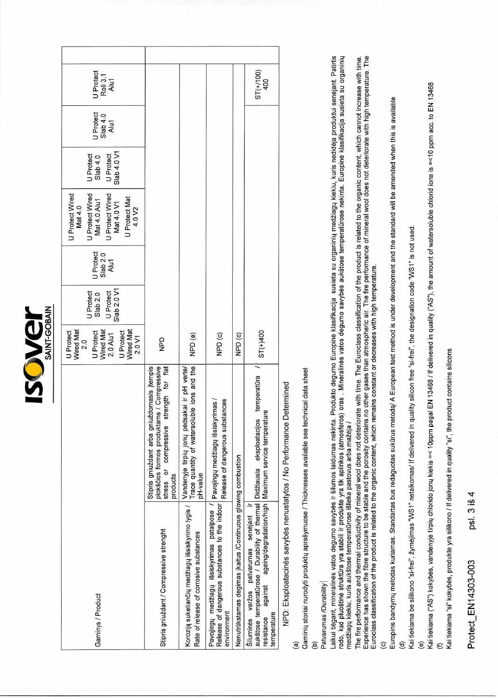| <b>ANTIHANT</b> |                |  |
|-----------------|----------------|--|
|                 |                |  |
|                 | <b>Millian</b> |  |
|                 |                |  |

|                                                                                                                                                                         |                                                                                                                                                 | Wired Mat<br>2.0<br>U Protect                                          | <b>U</b> Protect                     |                                      | U Protect Wired<br>U Protect Wired<br>Mat 4.0                                        | <b>U</b> Protect                     |                               |                               |  |
|-------------------------------------------------------------------------------------------------------------------------------------------------------------------------|-------------------------------------------------------------------------------------------------------------------------------------------------|------------------------------------------------------------------------|--------------------------------------|--------------------------------------|--------------------------------------------------------------------------------------|--------------------------------------|-------------------------------|-------------------------------|--|
| Gaminys / Product                                                                                                                                                       |                                                                                                                                                 | Wired Mat<br>Wired Mat<br>U Protect<br>U Protect<br>2.0 Alu1<br>2.0 V1 | Slab 2.0 V1<br>U Protect<br>Slab 2.0 | <b>J</b> Protect<br>Slab 2.0<br>Alu1 | U Protect Wired<br>Mat 4.0 V1<br>J Protect Mat<br>Mat 4.0 Alu1<br>4.0 V <sub>2</sub> | Slab 4.0 V1<br>U Protect<br>Slab 4.0 | U Protect<br>Slab 4.0<br>Alu1 | U Protect<br>Roll 3.1<br>Alu1 |  |
| Stipris gniuždant / Compressive strenght                                                                                                                                | plokščios formos produktams / Compressive<br>stress or compressive strength for flat<br>Stipris gniuždant arba gniuždomasis įtempis<br>products | QdN                                                                    |                                      |                                      |                                                                                      |                                      |                               |                               |  |
| Koroziją sukeliančių medžiagų išsiskyrimo lygis / $\lfloor$ vandenyje tirpių jonų pėdsakai ir pH vertė/<br>Rate of release of corrosive substances                      | Trace quantity of watersoluble ions and the<br>pH-value                                                                                         | NPD (e)                                                                |                                      |                                      |                                                                                      |                                      |                               |                               |  |
| Pavojingų medžiagų išsiskyrimas patalpose /   pavojingų medžiagų išsiskyrimas /<br>Release of dangerous substances to the indoor<br>environment                         | Release of dangerous substances                                                                                                                 | NPD <sub>(C)</sub>                                                     |                                      |                                      |                                                                                      |                                      |                               |                               |  |
| Nenutrūkstamas degimas įkaitus /Continuous glowing combustion                                                                                                           |                                                                                                                                                 | NPD <sub>(c)</sub>                                                     |                                      |                                      |                                                                                      |                                      |                               |                               |  |
| aukštose temperatūrose / Durability of thermal Didžiausia eksploatacijos temperatūra<br>Šiluminės varžos patvarumas senėjant ir<br>against<br>temperature<br>resistance | ageing/degradation/high   Maximum service temperature                                                                                           | $ST(+)400$                                                             |                                      |                                      |                                                                                      |                                      |                               | $ST(+100)$<br>400             |  |
| NPD: Eksploatacinės savybės nenustatytos / No Performance Determined                                                                                                    |                                                                                                                                                 |                                                                        |                                      |                                      |                                                                                      |                                      |                               |                               |  |

<sup>va,</sup><br>Gaminių storiai nurodyti produktų aprašymuose / Thicknesses available see technical data sheet

 $\widehat{e}$ 

Patvarumas /Durability

Laikui bėgant, mineralinės vatos degumo savybės ir šilumos laidumas nekinta. Produkto degumo Europinė klasifikacija susieta su organinių medžiagų kiekiu, kuris nedidėja produktui senėjant. Patirtis rodo, kad pluoštinė struktūra yra stabili ir produkte yra tik aplinkos (atmosferos) oras . Mineralinės vatos degumo savybės aukštose temperatūrose nekinta. Europinė klasifikacija susieta su organinių medžiagų kiekiu, kuris aukštose temperatūrose išlieka pastovus arba mažėja /

The fire performance and thermal conductivity of mineral wool does not deteriorate with time. The Euroclass classification of the product is related to the organic content, which cannot increase with time.<br>Experience has s  $\widehat{c}$ 

Europinis bandymų metodas kuriamas. Standartas bus redaguotas sukūrus metodą/ A European test method is under development and the standard will be amended when this is available

(d)<br>Kai tiekiama be silikono "si-frei", žymėjimas "WS1" netaikomas/ if delivered in quality silicon free "si-frei", the designation code "WS1" is not used.

 $\widehat{e}$ 

Kai tiekiama ("AS") kokybės, vandenyje tirpių chlorido jonų kiekis =< 10ppm pagal EN 13468 / If delivered in quality ("AS"), the amount of watersoluble chlorid ions is =<10 ppm acc. to EN 13468  $\in$ 

Kai tiekiama "si" kokybės, produkte yra silikono / If delivered in quality "si", the product contains silicons

psl. 3 iš 4 Protect EN14303-003